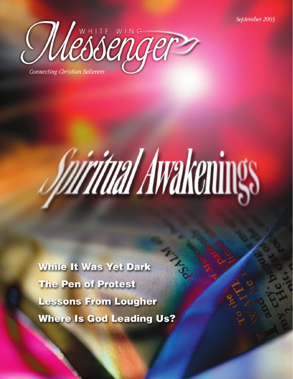

# Vairitual Awakenings

**While It Was Yet Dark** The Pen of Protest **Lessons From Lougher Where Is God Leading Us?**